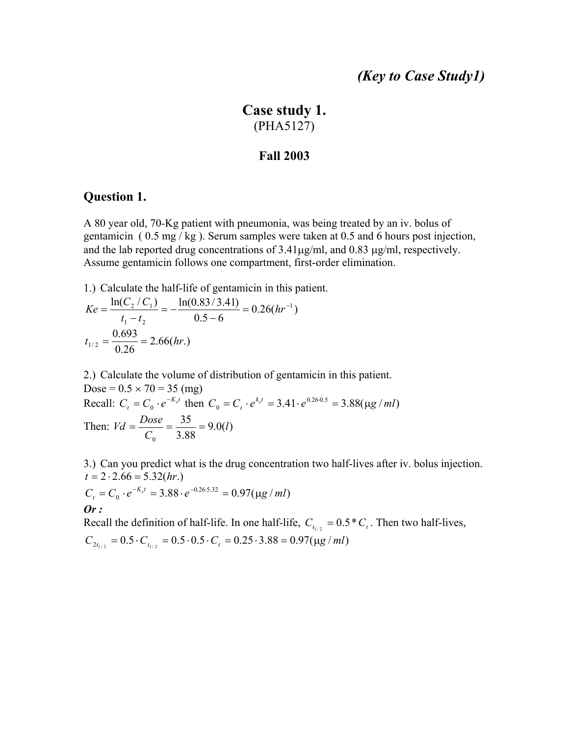## *(Key to Case Study1)*

# **Case study 1.** (PHA5127)

#### **Fall 2003**

### **Question 1.**

A 80 year old, 70-Kg patient with pneumonia, was being treated by an iv. bolus of gentamicin ( 0.5 mg / kg ). Serum samples were taken at 0.5 and 6 hours post injection, and the lab reported drug concentrations of 3.41µg/ml, and 0.83 µg/ml, respectively. Assume gentamicin follows one compartment, first-order elimination.

1.) Calculate the half-life of gentamicin in this patient.

$$
Ke = \frac{\ln(C_2/C_1)}{t_1 - t_2} = -\frac{\ln(0.83/3.41)}{0.5 - 6} = 0.26(hr^{-1})
$$
  

$$
t_{1/2} = \frac{0.693}{0.26} = 2.66(hr.)
$$

2.) Calculate the volume of distribution of gentamicin in this patient. Dose =  $0.5 \times 70 = 35$  (mg) Recall:  $C_t = C_0 \cdot e^{-K_e t}$  then  $C_0 = C_t \cdot e^{k_e t} = 3.41 \cdot e^{0.26 \cdot 0.5} = 3.88(\mu g / ml)$ Then:  $Vd = \frac{Dose}{C_0} = \frac{35}{3.88} = 9.0(l)$ 0 *l C*  $Vd = \frac{Dose}{\tilde{a}} = \frac{35}{2.88}$ 

3.) Can you predict what is the drug concentration two half-lives after iv. bolus injection.  $t = 2 \cdot 2.66 = 5.32(hr)$ 

$$
C_t = C_0 \cdot e^{-K_{e^t}} = 3.88 \cdot e^{-0.26 \cdot 5.32} = 0.97(\mu g / ml)
$$
  
**Or :**

Recall the definition of half-life. In one half-life,  $C_{t_{1/2}} = 0.5 \times C_{t}$ . Then two half-lives,  $C_{2t_{1/2}} = 0.5 \cdot C_{t_{1/2}} = 0.5 \cdot 0.5 \cdot C_t = 0.25 \cdot 3.88 = 0.97(\mu g/ml)$